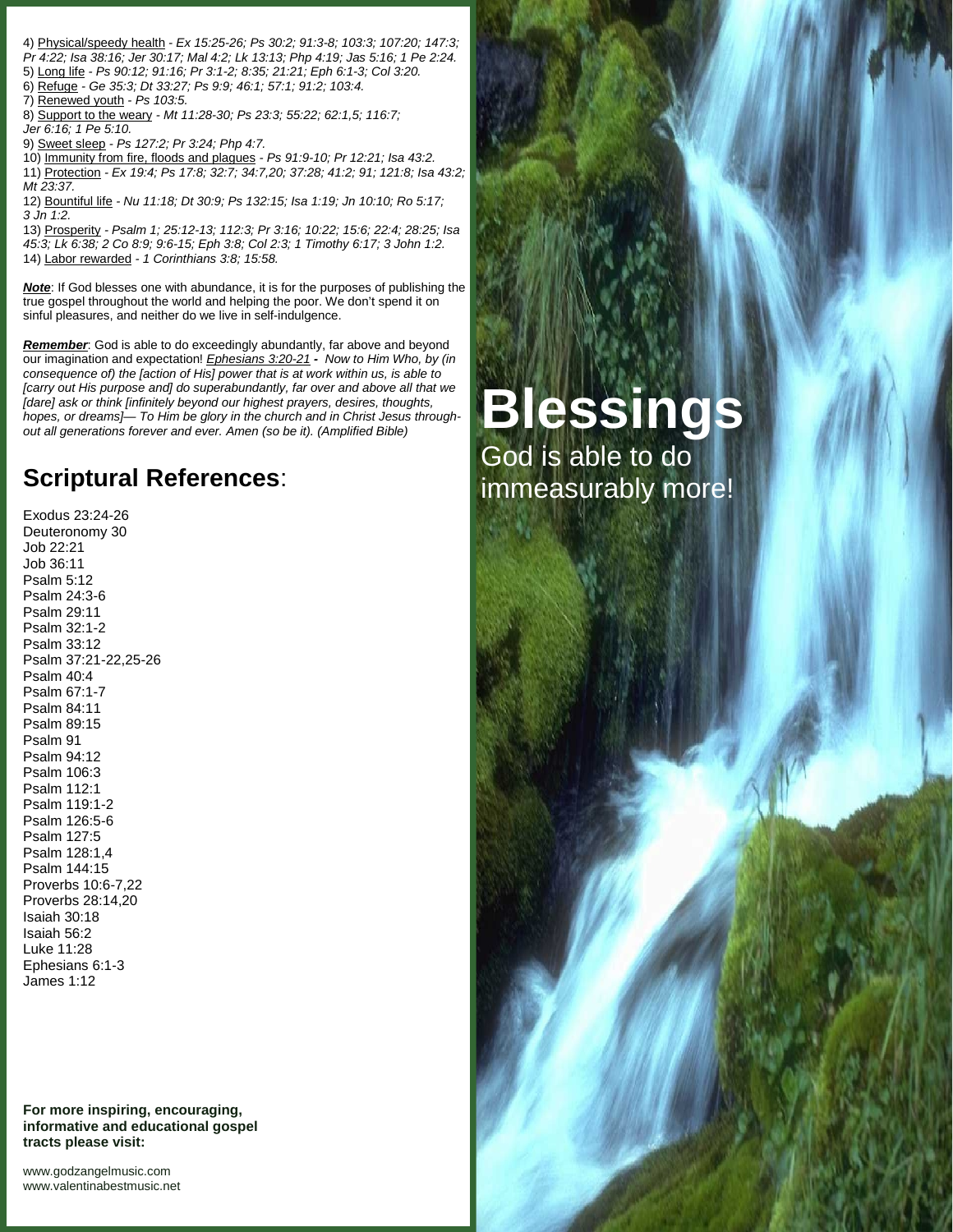- 4) Physical/speedy health *- Ex 15:25-26; Ps 30:2; 91:3-8; 103:3; 107:20; 147:3; Pr 4:22; Isa 38:16; Jer 30:17; Mal 4:2; Lk 13:13; Php 4:19; Jas 5:16; 1 Pe 2:24.* 5) Long life *- Ps 90:12; 91:16; Pr 3:1-2; 8:35; 21:21; Eph 6:1-3; Col 3:20.*
- 6) Refuge *- Ge 35:3; Dt 33:27; Ps 9:9; 46:1; 57:1; 91:2; 103:4.*
- 7) Renewed youth *- Ps 103:5.*
- 8) Support to the weary *- Mt 11:28-30; Ps 23:3; 55:22; 62:1,5; 116:7; Jer 6:16; 1 Pe 5:10.*
- 9) Sweet sleep *- Ps 127:2; Pr 3:24; Php 4:7.*
- 10) Immunity from fire, floods and plagues *- Ps 91:9-10; Pr 12:21; Isa 43:2.* 11) Protection *- Ex 19:4; Ps 17:8; 32:7; 34:7,20; 37:28; 41:2; 91; 121:8; Isa 43:2;*
- *Mt 23:37.* 12) Bountiful life *- Nu 11:18; Dt 30:9; Ps 132:15; Isa 1:19; Jn 10:10; Ro 5:17; 3 Jn 1:2.*
- 13) Prosperity  *Psalm 1; 25:12-13; 112:3; Pr 3:16; 10:22; 15:6; 22:4; 28:25; Isa 45:3; Lk 6:38; 2 Co 8:9; 9:6-15; Eph 3:8; Col 2:3; 1 Timothy 6:17; 3 John 1:2.* 14) Labor rewarded *- 1 Corinthians 3:8; 15:58.*

*Note*: If God blesses one with abundance, it is for the purposes of publishing the true gospel throughout the world and helping the poor. We don't spend it on sinful pleasures, and neither do we live in self-indulgence.

*Remember*: God is able to do exceedingly abundantly, far above and beyond our imagination and expectation! *Ephesians 3:20-21 - Now to Him Who, by (in consequence of) the [action of His] power that is at work within us, is able to [carry out His purpose and] do superabundantly, far over and above all that we [dare] ask or think [infinitely beyond our highest prayers, desires, thoughts, hopes, or dreams]— To Him be glory in the church and in Christ Jesus throughout all generations forever and ever. Amen (so be it). (Amplified Bible)*

## **Scriptural References**:

Exodus 23:24-26 Deuteronomy 30 Job 22:21 Job 36:11 Psalm 5:12 Psalm 24:3-6 Psalm 29:11 Psalm 32:1-2 Psalm 33:12 Psalm 37:21-22,25-26 Psalm 40:4 Psalm 67:1-7 Psalm 84:11 Psalm 89:15 Psalm 91 Psalm 94:12 Psalm 106:3 Psalm 112:1 Psalm 119:1-2 Psalm 126:5-6 Psalm 127:5 Psalm 128:1,4 Psalm 144:15 Proverbs 10:6-7,22 Proverbs 28:14,20 Isaiah 30:18 Isaiah 56:2 Luke 11:28 Ephesians 6:1-3 James 1:12

**For more inspiring, encouraging, informative and educational gospel tracts please visit:**

<www.godzangelmusic.com> <www.valentinabestmusic.net>

# **Blessings** God is able to do

immeasurably more!